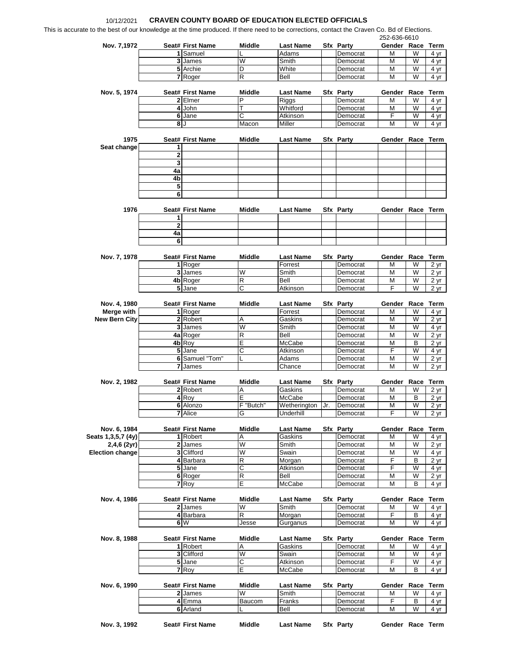## 10/12/2021 **CRAVEN COUNTY BOARD OF EDUCATION ELECTED OFFICIALS**

This is accurate to the best of our knowledge at the time produced. If there need to be corrections, contact the Craven Co. Bd of Elections

| Nov. 7,1972                                   |                   | Seat# First Name              | <b>Middle</b> | <b>Last Name</b>          | Sfx Party                    | Gender Race Term        |        |                                                      |
|-----------------------------------------------|-------------------|-------------------------------|---------------|---------------------------|------------------------------|-------------------------|--------|------------------------------------------------------|
|                                               |                   | 1 Samuel                      |               | Adams                     | Democrat                     | М                       | W      | 4 yr                                                 |
|                                               |                   | 3 James                       | W             | Smith                     | Democrat                     | M                       | W      | 4 yr                                                 |
|                                               |                   | 5 Archie                      | D             | White                     | Democrat                     | M                       | W      | 4 yr                                                 |
|                                               |                   | 7 Roger                       | R             | Bell                      | Democrat                     | М                       | W      | 4 yr                                                 |
|                                               |                   |                               |               |                           |                              |                         |        |                                                      |
| Nov. 5, 1974                                  |                   | Seat# First Name<br>$2$ Elmer | Middle<br>P   | <b>Last Name</b><br>Riggs | <b>Sfx Party</b><br>Democrat | Gender Race<br>М        | W      | <b>Term</b><br>4 yr                                  |
|                                               |                   | $\overline{4}$ John           | т             | Whitford                  | Democrat                     | М                       | W      | 4 yr                                                 |
|                                               |                   | 6 Jane                        | C             | Atkinson                  | Democrat                     | F                       | W      | 4 yr                                                 |
|                                               | 8                 | J                             | Macon         | Miller                    | Democrat                     | М                       | W      | 4 yr                                                 |
|                                               |                   |                               |               |                           |                              |                         |        |                                                      |
| 1975                                          |                   | Seat# First Name              | <b>Middle</b> | <b>Last Name</b>          | Sfx Party                    | Gender Race Term        |        |                                                      |
| Seat change                                   | 1                 |                               |               |                           |                              |                         |        |                                                      |
|                                               | $\mathbf 2$       |                               |               |                           |                              |                         |        |                                                      |
|                                               | 3                 |                               |               |                           |                              |                         |        |                                                      |
|                                               | 4a                |                               |               |                           |                              |                         |        |                                                      |
|                                               | 4b                |                               |               |                           |                              |                         |        |                                                      |
|                                               | 5                 |                               |               |                           |                              |                         |        |                                                      |
|                                               | 6                 |                               |               |                           |                              |                         |        |                                                      |
|                                               |                   |                               |               |                           |                              |                         |        |                                                      |
| 1976                                          |                   | Seat# First Name              | Middle        | Last Name                 | Sfx Party                    | Gender Race Term        |        |                                                      |
|                                               | 1<br>$\mathbf{2}$ |                               |               |                           |                              |                         |        |                                                      |
|                                               | 4a                |                               |               |                           |                              |                         |        |                                                      |
|                                               | 6                 |                               |               |                           |                              |                         |        |                                                      |
|                                               |                   |                               |               |                           |                              |                         |        |                                                      |
| Nov. 7, 1978                                  |                   | Seat# First Name              | Middle        | <b>Last Name</b>          | Sfx Party                    | Gender Race Term        |        |                                                      |
|                                               |                   | 1 Roger                       |               | Forrest                   | Democrat                     | M                       | W      | 2 yr                                                 |
|                                               |                   | 3 James                       | W             | Smith                     | Democrat                     | М                       | W      | 2 yr                                                 |
|                                               |                   | 4b Roger                      | R             | Bell                      | Democrat                     | М                       | W      | 2 yr                                                 |
|                                               |                   | 5 Jane                        | C             | Atkinson                  | Democrat                     | F                       | W      | 2 <sub>yr</sub>                                      |
|                                               |                   |                               |               |                           |                              |                         |        |                                                      |
| Nov. 4, 1980                                  |                   | Seat# First Name              | <b>Middle</b> | <b>Last Name</b>          | Sfx Party                    | Gender Race             |        | Term                                                 |
| Merge with                                    |                   | 1 Roger                       |               | Forrest                   | Democrat                     | М                       | W      | 4 yr                                                 |
| <b>New Bern City</b>                          |                   | 2 Robert                      | Α             | Gaskins                   | Democrat                     | М                       | W      | 2 yr                                                 |
|                                               |                   | 3 James                       | W             | Smith                     | Democrat                     | M                       | W      | 4 yr                                                 |
|                                               |                   | 4a Roger                      | R             | Bell                      | Democrat                     | M                       | W      | 2 yr                                                 |
|                                               |                   | 4b Roy                        | E             | McCabe                    | Democrat                     | М                       | B      | 2 <sub>yr</sub>                                      |
|                                               |                   | 5 Jane                        | С             | Atkinson                  | Democrat                     | F                       | W      | 4 yr                                                 |
|                                               |                   | 6 Samuel "Tom"                |               | Adams                     | Democrat                     | M                       | W      | $\overline{2}$ yr                                    |
|                                               |                   | 7 James                       |               | Chance                    | Democrat                     | М                       | W      | 2 yr                                                 |
|                                               |                   |                               |               |                           |                              |                         |        |                                                      |
| Nov. 2, 1982                                  |                   | Seat# First Name              | <b>Middle</b> | <b>Last Name</b>          | Sfx Party                    | Gender Race             |        | <b>Term</b>                                          |
|                                               |                   | 2 Robert                      | Α             | Gaskins                   | Democrat                     | М                       | W      | 2 yr                                                 |
|                                               | 4                 | Roy                           | E             | McCabe                    | Democrat                     | М                       | В<br>W | 2 yr<br>2 <sub>yr</sub>                              |
|                                               |                   | 6 Alonzo                      | F "Butch      | Wetherington Jr.          | Democrat                     | $\overline{\mathsf{M}}$ |        |                                                      |
|                                               |                   |                               |               |                           |                              |                         |        |                                                      |
|                                               |                   | <b>7</b> Alice                |               | Underhill                 | Democrat                     |                         | W      | 2 yr                                                 |
|                                               |                   |                               |               |                           |                              |                         |        |                                                      |
| Nov. 6, 1984                                  |                   | Seat# First Name              | Middle        | <b>Last Name</b>          | Sfx Party                    | Gender                  | Race   | Term                                                 |
|                                               |                   | 1 Robert                      | Α             | Gaskins                   | Democrat                     | М                       | W      |                                                      |
| $2,4,6$ (2yr)                                 |                   | 2 James                       | W             | Smith                     | Democrat                     | М                       | W      |                                                      |
|                                               |                   | 3 Clifford                    | W             | Swain                     | Democrat                     | М                       | W      |                                                      |
|                                               |                   | 4 Barbara                     | R             | Morgan                    | Democrat                     | F                       | В      |                                                      |
|                                               |                   | $5$ Jane                      | С             | Atkinson                  | Democrat                     | F                       | W      |                                                      |
|                                               |                   | 6 Roger<br>7 Roy              | R<br>E        | Bell<br>McCabe            | Democrat                     | М<br>М                  | W<br>B | 4 yr<br>2 yr<br>4 yr<br>2 yr<br>4 yr<br>2 yr<br>4 yr |
|                                               |                   |                               |               |                           | Democrat                     |                         |        |                                                      |
| Nov. 4, 1986                                  |                   | Seat# First Name              | Middle        | Last Name                 | Sfx Party                    | Gender Race Term        |        |                                                      |
|                                               |                   | 2 James                       | W             | Smith                     | Democrat                     | М                       | W      | 4 yr                                                 |
|                                               |                   | 4 Barbara                     | R             | Morgan                    | Democrat                     | F                       | В      |                                                      |
|                                               |                   | 6 W                           | Jesse         | Gurganus                  | Democrat                     | м                       | W      |                                                      |
|                                               |                   |                               |               |                           |                              |                         |        |                                                      |
| Nov. 8, 1988                                  |                   | Seat# First Name              | Middle        | Last Name                 | Sfx Party                    | Gender                  | Race   |                                                      |
|                                               |                   | 1 Robert                      | Α             | Gaskins                   | Democrat                     | M                       | W      |                                                      |
|                                               |                   | 3 Clifford                    | W             | Swain                     | Democrat                     | М                       | W      |                                                      |
|                                               |                   | 5 Jane                        | С             | Atkinson                  | Democrat                     | F                       | W      |                                                      |
|                                               |                   | 7 Roy                         | E             | McCabe                    | Democrat                     | M                       | B      |                                                      |
|                                               |                   |                               |               |                           |                              |                         |        | 4 yr<br>4 yr<br>Term<br>4 yr<br>4 yr<br>4 yr<br>4 yr |
| Nov. 6, 1990                                  |                   | Seat# First Name              | Middle        | <b>Last Name</b>          | Sfx Party                    | Gender                  | Race   | Term                                                 |
| Seats 1,3,5,7 (4y) <br><b>Election change</b> |                   | 2 James<br>4 Emma             | W<br>Baucom   | Smith<br>Franks           | Democrat<br>Democrat         | М<br>F                  | W<br>В | 4 yr<br>4 yr                                         |

**Nov. 3, 1992 Seat# First Name Middle Last Name Sfx Party Gender Race Term**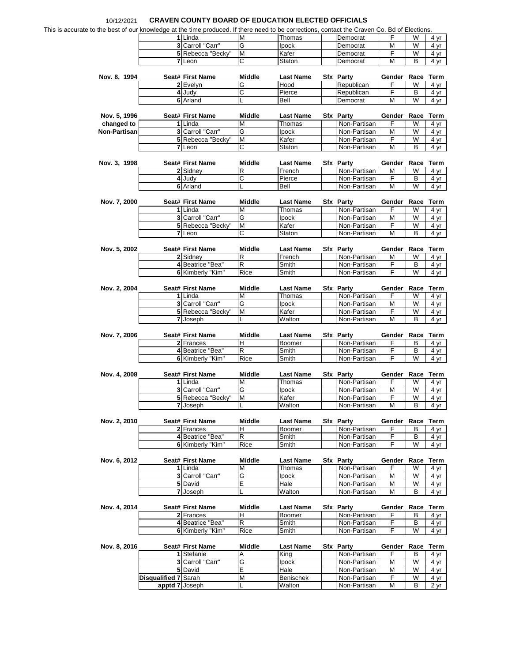## 10/12/2021 **CRAVEN COUNTY BOARD OF EDUCATION ELECTED OFFICIALS**

|  | This is accurate to the best of our knowledge at the time produced. If there need to be corrections, contact the Craven Co. Bd of Elections. |
|--|----------------------------------------------------------------------------------------------------------------------------------------------|
|  |                                                                                                                                              |

|              | ate to the best of our knowledge at the time produced. If there need to be corrections, contact the Craven Co. Bd of Elections. |                                      |                              |                            |                                  |                       |                     |                                                                                                                                                                         |
|--------------|---------------------------------------------------------------------------------------------------------------------------------|--------------------------------------|------------------------------|----------------------------|----------------------------------|-----------------------|---------------------|-------------------------------------------------------------------------------------------------------------------------------------------------------------------------|
|              |                                                                                                                                 | $1$ Linda                            | M                            | Thomas                     | Democrat                         | F                     | W                   | 4 yr                                                                                                                                                                    |
|              |                                                                                                                                 | 3 Carroll "Carr"                     | G                            | Ipock                      | Democrat                         | М                     | W                   | 4 yr                                                                                                                                                                    |
|              |                                                                                                                                 | 5 Rebecca "Becky"                    | M                            | Kafer                      | Democrat                         | F                     | W                   | $\frac{4 \text{ yr}}{4}$                                                                                                                                                |
|              |                                                                                                                                 | 7 Leon                               | C                            | Staton                     | Democrat                         | M                     | B                   | 4 yr                                                                                                                                                                    |
|              |                                                                                                                                 |                                      |                              |                            |                                  |                       |                     |                                                                                                                                                                         |
| Nov. 8, 1994 |                                                                                                                                 | Seat# First Name                     | <b>Middle</b>                | <b>Last Name</b>           | Sfx Party                        | Gender Race Term      |                     |                                                                                                                                                                         |
|              |                                                                                                                                 | 2 Evelyn<br>4 Judy                   | G<br>С                       | Hood<br>Pierce             | Republican<br>Republican         | F<br>F                | W<br>В              | $\overline{4}$ yr                                                                                                                                                       |
|              |                                                                                                                                 | <b>6</b> Arland                      | L                            | Bell                       | Democrat                         | М                     | W                   | 4 yr<br>4 yr                                                                                                                                                            |
|              |                                                                                                                                 |                                      |                              |                            |                                  |                       |                     |                                                                                                                                                                         |
| Nov. 5, 1996 |                                                                                                                                 | Seat# First Name                     | Middle                       | <b>Last Name</b>           | <b>Sfx Party</b>                 | Gender Race Term      |                     |                                                                                                                                                                         |
| changed to   |                                                                                                                                 | 1 Linda                              | M                            | Thomas                     | Non-Partisan                     | F                     | W                   | 4 yr                                                                                                                                                                    |
| Non-Partisan |                                                                                                                                 | 3 Carroll "Carr"                     | G                            | <b>Ipock</b>               | Non-Partisan                     | М<br>$\overline{F}$   | W                   | 4 yr                                                                                                                                                                    |
|              |                                                                                                                                 | 5 Rebecca "Becky"<br>7 Leon          | М<br>С                       | Kafer<br>Staton            | Non-Partisan<br>Non-Partisan     | М                     | W<br>В              | $\overline{4 \text{ yr}}$<br>4 yr                                                                                                                                       |
|              |                                                                                                                                 |                                      |                              |                            |                                  |                       |                     |                                                                                                                                                                         |
| Nov. 3, 1998 |                                                                                                                                 | Seat# First Name                     | Middle                       | <b>Last Name</b>           | Sfx Party                        | Gender Race Term      |                     |                                                                                                                                                                         |
|              |                                                                                                                                 | 2 Sidney                             | R                            | French                     | Non-Partisan                     | М                     | W                   | 4 yr                                                                                                                                                                    |
|              |                                                                                                                                 | 4 Judy                               | $\overline{\text{c}}$        | Pierce                     | Non-Partisan                     | $\overline{F}$        | B                   | 4 yr                                                                                                                                                                    |
|              |                                                                                                                                 | 6 Arland                             |                              | Bell                       | Non-Partisan                     | М                     | W                   | 4 yr                                                                                                                                                                    |
| Nov. 7, 2000 |                                                                                                                                 | Seat# First Name                     | <b>Middle</b>                | <b>Last Name</b>           | Sfx Party                        | Gender Race Term      |                     |                                                                                                                                                                         |
|              |                                                                                                                                 | 1 Linda                              | M                            | Thomas                     | Non-Partisan                     | F                     | W                   | 4 yr                                                                                                                                                                    |
|              |                                                                                                                                 | 3 Carroll "Carr"                     | G                            | Ipock                      | Non-Partisan                     | М                     | W                   | 4 yr                                                                                                                                                                    |
|              |                                                                                                                                 | 5 Rebecca "Becky"                    | M                            | Kafer                      | Non-Partisan                     | F                     | W                   | 4 yr                                                                                                                                                                    |
|              |                                                                                                                                 | 7 Leon                               | Ć                            | Staton                     | Non-Partisan                     | M                     | В                   | 4 yr                                                                                                                                                                    |
|              |                                                                                                                                 |                                      |                              |                            |                                  |                       |                     |                                                                                                                                                                         |
| Nov. 5, 2002 |                                                                                                                                 | Seat# First Name<br>2 Sidney         | <b>Middle</b><br>R           | Last Name<br>French        | <b>Sfx Party</b><br>Non-Partisan | Gender Race Term<br>М | W                   | 4 yr                                                                                                                                                                    |
|              |                                                                                                                                 | 4 Beatrice "Bea"                     | R                            | Smith                      | Non-Partisan                     | F                     | B                   | 4 yr                                                                                                                                                                    |
|              |                                                                                                                                 | 6 Kimberly "Kim"                     | Rice                         | Smith                      | Non-Partisan                     | F                     | W                   | 4 yr                                                                                                                                                                    |
|              |                                                                                                                                 |                                      |                              |                            |                                  |                       |                     |                                                                                                                                                                         |
| Nov. 2, 2004 |                                                                                                                                 | Seat# First Name                     | Middle                       | <b>Last Name</b>           | <b>Sfx Party</b>                 | Gender Race Term      |                     |                                                                                                                                                                         |
|              |                                                                                                                                 | 1 Linda<br>3 Carroll "Carr"          | Μ<br>G                       | Thomas<br>Ipock            | Non-Partisan<br>Non-Partisan     | F<br>М                | W<br>W              | 4 yr<br>4 yr                                                                                                                                                            |
|              |                                                                                                                                 | 5 Rebecca "Becky"                    | М                            | Kafer                      | Non-Partisan                     | F                     | W                   | 4 yr                                                                                                                                                                    |
|              |                                                                                                                                 | 7 Joseph                             |                              | Walton                     | Non-Partisan                     | M                     | B                   | 4 yr                                                                                                                                                                    |
|              |                                                                                                                                 |                                      |                              |                            |                                  |                       |                     |                                                                                                                                                                         |
| Nov. 7, 2006 |                                                                                                                                 | Seat# First Name                     | <b>Middle</b>                | <b>Last Name</b>           | Sfx Party                        | Gender Race Term      |                     |                                                                                                                                                                         |
|              |                                                                                                                                 | 2 Frances<br>4 Beatrice "Bea"        | н<br>$\overline{\mathsf{R}}$ | Boomer<br>Smith            | Non-Partisan<br>Non-Partisan     | F<br>F                | В<br>$\overline{B}$ | 4 yr<br>4 yr                                                                                                                                                            |
|              |                                                                                                                                 | 6 Kimberly "Kim"                     | Rice                         | Smith                      | Non-Partisan                     | F                     | W                   | 4 yr                                                                                                                                                                    |
|              |                                                                                                                                 |                                      |                              |                            |                                  |                       |                     |                                                                                                                                                                         |
| Nov. 4, 2008 |                                                                                                                                 | Seat# First Name                     | Middle                       | <b>Last Name</b>           | <b>Sfx Party</b>                 |                       |                     |                                                                                                                                                                         |
|              |                                                                                                                                 |                                      |                              |                            |                                  |                       | Gender Race Term    |                                                                                                                                                                         |
|              |                                                                                                                                 | 1 Linda                              | M                            | Thomas                     | Non-Partisan                     | F                     | W                   |                                                                                                                                                                         |
|              |                                                                                                                                 | 3 Carroll "Carr"                     | G                            | Ipock                      | Non-Partisan                     | М                     | W                   |                                                                                                                                                                         |
|              |                                                                                                                                 | 5 Rebecca "Becky"                    | M                            | Kafer                      | Non-Partisan                     | F                     | W                   |                                                                                                                                                                         |
|              |                                                                                                                                 | 7 Joseph                             |                              | Walton                     | Non-Partisan                     | М                     | В                   |                                                                                                                                                                         |
| Nov. 2, 2010 |                                                                                                                                 | Seat# First Name                     | Middle                       | <b>Last Name</b>           | <b>Sfx Party</b>                 | Gender Race Term      |                     |                                                                                                                                                                         |
|              |                                                                                                                                 | 2 Frances                            | Н                            | Boomer                     | Non-Partisan                     | F                     | В                   |                                                                                                                                                                         |
|              |                                                                                                                                 | 4 Beatrice "Bea"                     | R                            | Smith                      | Non-Partisan                     | F                     | B                   |                                                                                                                                                                         |
|              |                                                                                                                                 | 6 Kimberly "Kim"                     | Rice                         | Smith                      | Non-Partisan                     | F                     | W                   |                                                                                                                                                                         |
|              |                                                                                                                                 |                                      |                              |                            |                                  |                       |                     |                                                                                                                                                                         |
| Nov. 6, 2012 |                                                                                                                                 | Seat# First Name<br>1 Linda          | Middle<br>м                  | <b>Last Name</b><br>Thomas | Sfx Party<br>Non-Partisan        | Gender Race Term<br>F | W                   |                                                                                                                                                                         |
|              |                                                                                                                                 | 3 Carroll "Carr"                     | G                            | Ipock                      | Non-Partisan                     | M                     | W                   |                                                                                                                                                                         |
|              |                                                                                                                                 | 5 David                              | E                            | Hale                       | Non-Partisan                     | М                     | W                   |                                                                                                                                                                         |
|              |                                                                                                                                 | 7 Joseph                             |                              | Walton                     | Non-Partisan                     | M                     | В                   |                                                                                                                                                                         |
|              |                                                                                                                                 |                                      |                              |                            |                                  |                       |                     |                                                                                                                                                                         |
| Nov. 4, 2014 |                                                                                                                                 | Seat# First Name                     | Middle                       | <b>Last Name</b>           | <b>Sfx Party</b>                 | Gender Race Term      |                     |                                                                                                                                                                         |
|              |                                                                                                                                 | 2 Frances                            | н<br>R                       | Boomer                     | Non-Partisan<br>Non-Partisan     | F<br>F                | В<br>В              |                                                                                                                                                                         |
|              |                                                                                                                                 | 4 Beatrice "Bea"<br>6 Kimberly "Kim" | Rice                         | Smith<br>Smith             | Non-Partisan                     | F                     | W                   |                                                                                                                                                                         |
|              |                                                                                                                                 |                                      |                              |                            |                                  |                       |                     |                                                                                                                                                                         |
| Nov. 8, 2016 |                                                                                                                                 | Seat# First Name                     | Middle                       | <b>Last Name</b>           | Sfx Party                        | Gender Race Term      |                     |                                                                                                                                                                         |
|              |                                                                                                                                 | 1 Stefanie                           | Α                            | King                       | Non-Partisan                     | F                     | в                   | 4 yr<br>$\frac{4 \text{ yr}}{4}$<br>4 yr<br>4 yr<br>4 yr<br>4 <sub>yr</sub><br>4 yr<br>4 yr<br>4 yr<br><u>4 yr</u><br>4 yr<br>4 yr<br>4 yr<br>$\overline{4}$ yr<br>4 yr |
|              |                                                                                                                                 | 3 Carroll "Carr"                     | G                            | Ipock                      | Non-Partisan                     | М                     | W                   | 4 yr                                                                                                                                                                    |
|              |                                                                                                                                 | 5 David                              | E                            | Hale                       | Non-Partisan                     | М                     | W                   | $\overline{4}$ yr                                                                                                                                                       |
|              | <b>Disqualified 7 Sarah</b>                                                                                                     | apptd 7 Joseph                       | M<br>L                       | Benischek<br>Walton        | Non-Partisan<br>Non-Partisan     | F<br>М                | W<br>В              | 4 yr<br>2 yr                                                                                                                                                            |